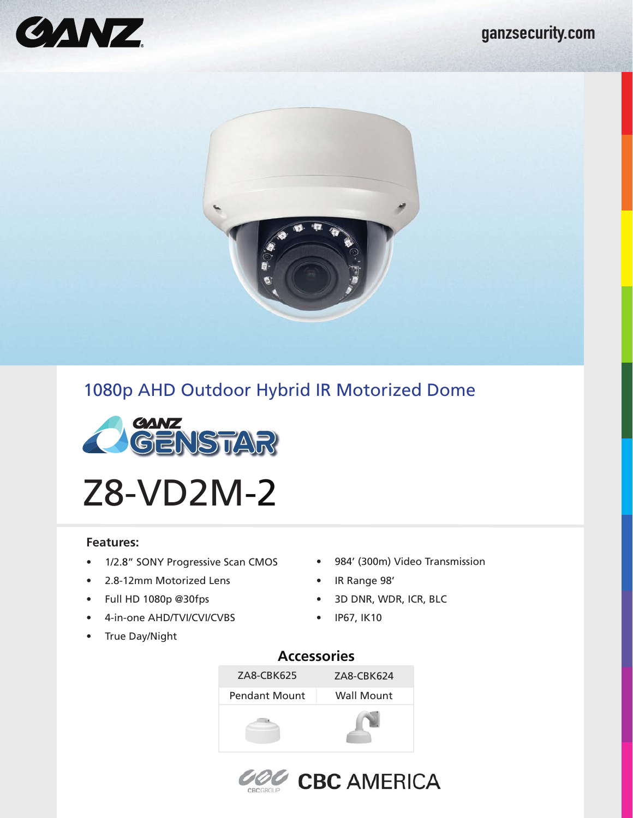



# 1080p AHD Outdoor Hybrid IR Motorized Dome



Z8-VD2M-2

### **Features:**

- 1/2.8" SONY Progressive Scan CMOS 984' (300m) Video Transmission
- 2.8-12mm Motorized Lens
- Full HD 1080p @30fps
- 4-in-one AHD/TVI/CVI/CVBS
- True Day/Night
- 
- IR Range 98'
	- 3D DNR, WDR, ICR, BLC
- IP67, IK10